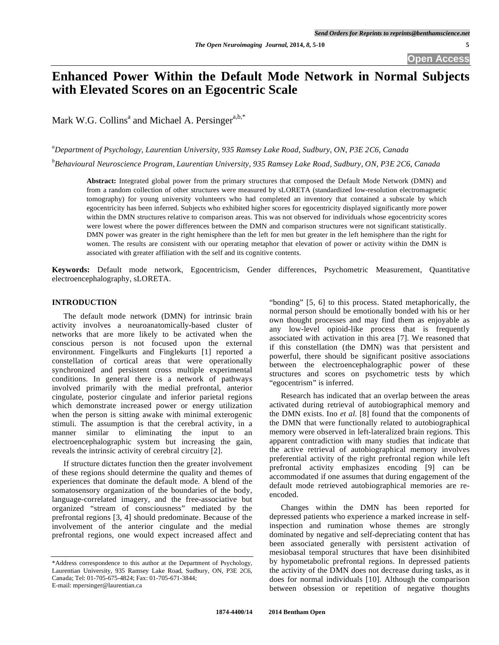# **Enhanced Power Within the Default Mode Network in Normal Subjects with Elevated Scores on an Egocentric Scale**

Mark W.G. Collins<sup>a</sup> and Michael A. Persinger<sup>a,b,\*</sup>

*a Department of Psychology, Laurentian University, 935 Ramsey Lake Road, Sudbury, ON, P3E 2C6, Canada* 

*b Behavioural Neuroscience Program, Laurentian University, 935 Ramsey Lake Road, Sudbury, ON, P3E 2C6, Canada* 

**Abstract:** Integrated global power from the primary structures that composed the Default Mode Network (DMN) and from a random collection of other structures were measured by sLORETA (standardized low-resolution electromagnetic tomography) for young university volunteers who had completed an inventory that contained a subscale by which egocentricity has been inferred. Subjects who exhibited higher scores for egocentricity displayed significantly more power within the DMN structures relative to comparison areas. This was not observed for individuals whose egocentricity scores were lowest where the power differences between the DMN and comparison structures were not significant statistically. DMN power was greater in the right hemisphere than the left for men but greater in the left hemisphere than the right for women. The results are consistent with our operating metaphor that elevation of power or activity within the DMN is associated with greater affiliation with the self and its cognitive contents.

**Keywords:** Default mode network, Egocentricism, Gender differences, Psychometric Measurement, Quantitative electroencephalography, sLORETA.

## **INTRODUCTION**

 The default mode network (DMN) for intrinsic brain activity involves a neuroanatomically-based cluster of networks that are more likely to be activated when the conscious person is not focused upon the external environment. Fingelkurts and Finglekurts [1] reported a constellation of cortical areas that were operationally synchronized and persistent cross multiple experimental conditions. In general there is a network of pathways involved primarily with the medial prefrontal, anterior cingulate, posterior cingulate and inferior parietal regions which demonstrate increased power or energy utilization when the person is sitting awake with minimal exterogenic stimuli. The assumption is that the cerebral activity, in a manner similar to eliminating the input to an electroencephalographic system but increasing the gain, reveals the intrinsic activity of cerebral circuitry [2].

 If structure dictates function then the greater involvement of these regions should determine the quality and themes of experiences that dominate the default mode. A blend of the somatosensory organization of the boundaries of the body, language-correlated imagery, and the free-associative but organized "stream of consciousness" mediated by the prefrontal regions [3, 4] should predominate. Because of the involvement of the anterior cingulate and the medial prefrontal regions, one would expect increased affect and

"bonding" [5, 6] to this process. Stated metaphorically, the normal person should be emotionally bonded with his or her own thought processes and may find them as enjoyable as any low-level opioid-like process that is frequently associated with activation in this area [7]. We reasoned that if this constellation (the DMN) was that persistent and powerful, there should be significant positive associations between the electroencephalographic power of these structures and scores on psychometric tests by which "egocentrism" is inferred.

 Research has indicated that an overlap between the areas activated during retrieval of autobiographical memory and the DMN exists. Ino *et al.* [8] found that the components of the DMN that were functionally related to autobiographical memory were observed in left-lateralized brain regions. This apparent contradiction with many studies that indicate that the active retrieval of autobiographical memory involves preferential activity of the right prefrontal region while left prefrontal activity emphasizes encoding [9] can be accommodated if one assumes that during engagement of the default mode retrieved autobiographical memories are reencoded.

 Changes within the DMN has been reported for depressed patients who experience a marked increase in selfinspection and rumination whose themes are strongly dominated by negative and self-depreciating content that has been associated generally with persistent activation of mesiobasal temporal structures that have been disinhibited by hypometabolic prefrontal regions. In depressed patients the activity of the DMN does not decrease during tasks, as it does for normal individuals [10]. Although the comparison between obsession or repetition of negative thoughts

<sup>\*</sup>Address correspondence to this author at the Department of Psychology, Laurentian University, 935 Ramsey Lake Road, Sudbury, ON, P3E 2C6, Canada; Tel: 01-705-675-4824; Fax: 01-705-671-3844; E-mail: mpersinger@laurentian.ca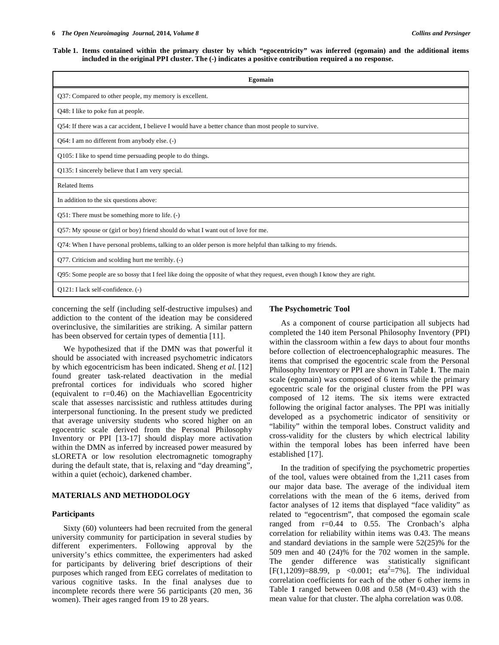**Table 1. Items contained within the primary cluster by which "egocentricity" was inferred (egomain) and the additional items included in the original PPI cluster. The (-) indicates a positive contribution required a no response.** 

| Egomain                                                                                                                    |  |  |  |  |
|----------------------------------------------------------------------------------------------------------------------------|--|--|--|--|
| Q37: Compared to other people, my memory is excellent.                                                                     |  |  |  |  |
| Q48: I like to poke fun at people.                                                                                         |  |  |  |  |
| Q54: If there was a car accident, I believe I would have a better chance than most people to survive.                      |  |  |  |  |
| Q64: I am no different from anybody else. (-)                                                                              |  |  |  |  |
| Q105: I like to spend time persuading people to do things.                                                                 |  |  |  |  |
| Q135: I sincerely believe that I am very special.                                                                          |  |  |  |  |
| <b>Related Items</b>                                                                                                       |  |  |  |  |
| In addition to the six questions above:                                                                                    |  |  |  |  |
| $Q51$ : There must be something more to life. $(-)$                                                                        |  |  |  |  |
| Q57: My spouse or (girl or boy) friend should do what I want out of love for me.                                           |  |  |  |  |
| Q74: When I have personal problems, talking to an older person is more helpful than talking to my friends.                 |  |  |  |  |
| Q77. Criticism and scolding hurt me terribly. (-)                                                                          |  |  |  |  |
| Q95: Some people are so bossy that I feel like doing the opposite of what they request, even though I know they are right. |  |  |  |  |
| Q121: I lack self-confidence. (-)                                                                                          |  |  |  |  |

concerning the self (including self-destructive impulses) and addiction to the content of the ideation may be considered overinclusive, the similarities are striking. A similar pattern has been observed for certain types of dementia [11].

 We hypothesized that if the DMN was that powerful it should be associated with increased psychometric indicators by which egocentricism has been indicated. Sheng *et al.* [12] found greater task-related deactivation in the medial prefrontal cortices for individuals who scored higher (equivalent to r=0.46) on the Machiavellian Egocentricity scale that assesses narcissistic and ruthless attitudes during interpersonal functioning. In the present study we predicted that average university students who scored higher on an egocentric scale derived from the Personal Philosophy Inventory or PPI [13-17] should display more activation within the DMN as inferred by increased power measured by sLORETA or low resolution electromagnetic tomography during the default state, that is, relaxing and "day dreaming", within a quiet (echoic), darkened chamber.

### **MATERIALS AND METHODOLOGY**

#### **Participants**

 Sixty (60) volunteers had been recruited from the general university community for participation in several studies by different experimenters. Following approval by the university's ethics committee, the experimenters had asked for participants by delivering brief descriptions of their purposes which ranged from EEG correlates of meditation to various cognitive tasks. In the final analyses due to incomplete records there were 56 participants (20 men, 36 women). Their ages ranged from 19 to 28 years.

#### **The Psychometric Tool**

 As a component of course participation all subjects had completed the 140 item Personal Philosophy Inventory (PPI) within the classroom within a few days to about four months before collection of electroencephalographic measures. The items that comprised the egocentric scale from the Personal Philosophy Inventory or PPI are shown in Table **1**. The main scale (egomain) was composed of 6 items while the primary egocentric scale for the original cluster from the PPI was composed of 12 items. The six items were extracted following the original factor analyses. The PPI was initially developed as a psychometric indicator of sensitivity or "lability" within the temporal lobes. Construct validity and cross-validity for the clusters by which electrical lability within the temporal lobes has been inferred have been established [17].

 In the tradition of specifying the psychometric properties of the tool, values were obtained from the 1,211 cases from our major data base. The average of the individual item correlations with the mean of the 6 items, derived from factor analyses of 12 items that displayed "face validity" as related to "egocentrism", that composed the egomain scale ranged from r=0.44 to 0.55. The Cronbach's alpha correlation for reliability within items was 0.43. The means and standard deviations in the sample were 52(25)% for the 509 men and 40 (24)% for the 702 women in the sample. The gender difference was statistically significant  $[F(1,1209)=88.99, p < 0.001; eta<sup>2</sup>=7%].$  The individual correlation coefficients for each of the other 6 other items in Table **1** ranged between 0.08 and 0.58 (M=0.43) with the mean value for that cluster. The alpha correlation was 0.08.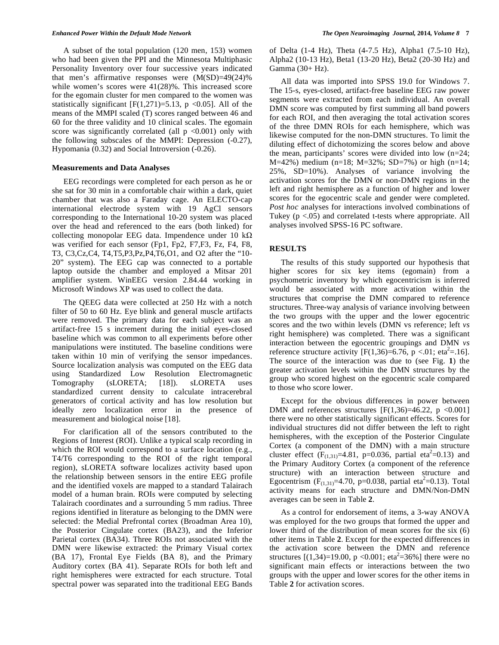A subset of the total population (120 men, 153) women who had been given the PPI and the Minnesota Multiphasic Personality Inventory over four successive years indicated that men's affirmative responses were  $(M(SD)=49(24)\%$ while women's scores were 41(28)%. This increased score for the egomain cluster for men compared to the women was statistically significant  $[F(1,271)=5.13, p < 0.05]$ . All of the means of the MMPI scaled (T) scores ranged between 46 and 60 for the three validity and 10 clinical scales. The egomain score was significantly correlated (all  $p \le 0.001$ ) only with the following subscales of the MMPI: Depression (-0.27), Hypomania (0.32) and Social Introversion (-0.26).

#### **Measurements and Data Analyses**

 EEG recordings were completed for each person as he or she sat for 30 min in a comfortable chair within a dark, quiet chamber that was also a Faraday cage. An ELECTO-cap international electrode system with 19 AgCl sensors corresponding to the International 10-20 system was placed over the head and referenced to the ears (both linked) for collecting monopolar EEG data. Impendence under 10 k $\Omega$ was verified for each sensor (Fp1, Fp2, F7,F3, Fz, F4, F8, T3, C3,Cz,C4, T4,T5,P3,Pz,P4,T6,O1, and O2 after the "10- 20" system). The EEG cap was connected to a portable laptop outside the chamber and employed a Mitsar 201 amplifier system. WinEEG version 2.84.44 working in Microsoft Windows XP was used to collect the data.

 The QEEG data were collected at 250 Hz with a notch filter of 50 to 60 Hz. Eye blink and general muscle artifacts were removed. The primary data for each subject was an artifact-free 15 s increment during the initial eyes-closed baseline which was common to all experiments before other manipulations were instituted. The baseline conditions were taken within 10 min of verifying the sensor impedances. Source localization analysis was computed on the EEG data using Standardized Low Resolution Electromagnetic Tomography (sLORETA; [18]). sLORETA uses standardized current density to calculate intracerebral generators of cortical activity and has low resolution but ideally zero localization error in the presence of measurement and biological noise [18].

 For clarification all of the sensors contributed to the Regions of Interest (ROI). Unlike a typical scalp recording in which the ROI would correspond to a surface location (e.g., T4/T6 corresponding to the ROI of the right temporal region), sLORETA software localizes activity based upon the relationship between sensors in the entire EEG profile and the identified voxels are mapped to a standard Talairach model of a human brain. ROIs were computed by selecting Talairach coordinates and a surrounding 5 mm radius. Three regions identified in literature as belonging to the DMN were selected: the Medial Prefrontal cortex (Broadman Area 10), the Posterior Cingulate cortex (BA23), and the Inferior Parietal cortex (BA34). Three ROIs not associated with the DMN were likewise extracted: the Primary Visual cortex (BA 17), Frontal Eye Fields (BA 8), and the Primary Auditory cortex (BA 41). Separate ROIs for both left and right hemispheres were extracted for each structure. Total spectral power was separated into the traditional EEG Bands

of Delta (1-4 Hz), Theta (4-7.5 Hz), Alpha1 (7.5-10 Hz), Alpha2 (10-13 Hz), Beta1 (13-20 Hz), Beta2 (20-30 Hz) and Gamma (30+ Hz).

 All data was imported into SPSS 19.0 for Windows 7. The 15-s, eyes-closed, artifact-free baseline EEG raw power segments were extracted from each individual. An overall DMN score was computed by first summing all band powers for each ROI, and then averaging the total activation scores of the three DMN ROIs for each hemisphere, which was likewise computed for the non-DMN structures. To limit the diluting effect of dichotomizing the scores below and above the mean, participants' scores were divided into low (n=24;  $M=42\%$ ) medium (n=18; M=32%; SD=7%) or high (n=14; 25%, SD=10%). Analyses of variance involving the activation scores for the DMN or non-DMN regions in the left and right hemisphere as a function of higher and lower scores for the egocentric scale and gender were completed. *Post hoc* analyses for interactions involved combinations of Tukey ( $p \le 0.05$ ) and correlated t-tests where appropriate. All analyses involved SPSS-16 PC software.

#### **RESULTS**

 The results of this study supported our hypothesis that higher scores for six key items (egomain) from a psychometric inventory by which egocentricism is inferred would be associated with more activation within the structures that comprise the DMN compared to reference structures. Three-way analysis of variance involving between the two groups with the upper and the lower egocentric scores and the two within levels (DMN vs reference; left *vs* right hemisphere) was completed. There was a significant interaction between the egocentric groupings and DMN *vs* reference structure activity [F(1,36)=6.76, p <.01; eta<sup>2</sup>=.16]. The source of the interaction was due to (see Fig. **1**) the greater activation levels within the DMN structures by the group who scored highest on the egocentric scale compared to those who score lower.

 Except for the obvious differences in power between DMN and references structures  $[F(1,36)=46.22, p < 0.001]$ there were no other statistically significant effects. Scores for individual structures did not differ between the left to right hemispheres, with the exception of the Posterior Cingulate Cortex (a component of the DMN) with a main structure cluster effect  $(F_{(1,31)}=4.81, p=0.036,$  partial eta<sup>2</sup>=0.13) and the Primary Auditory Cortex (a component of the reference structure) with an interaction between structure and Egocentrism ( $F_{(1,31)} = 4.70$ , p=0.038, partial eta<sup>2</sup>=0.13). Total activity means for each structure and DMN/Non-DMN averages can be seen in Table **2**.

 As a control for endorsement of items, a 3-way ANOVA was employed for the two groups that formed the upper and lower third of the distribution of mean scores for the six (6) other items in Table **2**. Except for the expected differences in the activation score between the DMN and reference structures  $[(1,34)=19.00, p < 0.001; \text{eta}^2=36\%]$  there were no significant main effects or interactions between the two groups with the upper and lower scores for the other items in Table **2** for activation scores.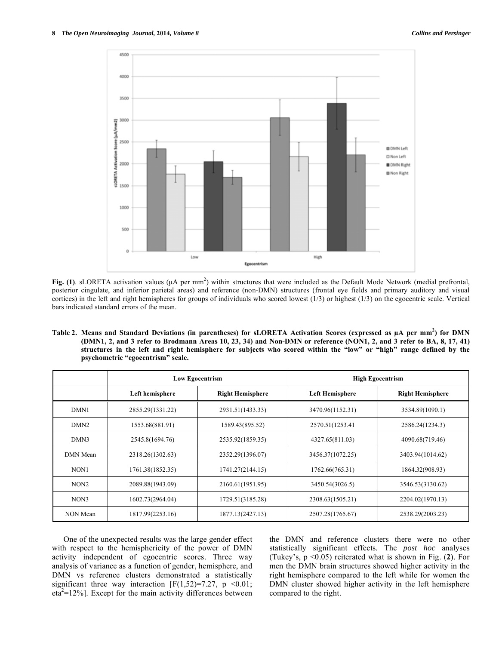

Fig. (1). sLORETA activation values ( $\mu A$  per mm<sup>2</sup>) within structures that were included as the Default Mode Network (medial prefrontal, posterior cingulate, and inferior parietal areas) and reference (non-DMN) structures (frontal eye fields and primary auditory and visual cortices) in the left and right hemispheres for groups of individuals who scored lowest  $(1/3)$  or highest  $(1/3)$  on the egocentric scale. Vertical bars indicated standard errors of the mean.

**Table 2. Means and Standard Deviations (in parentheses) for sLORETA Activation Scores (expressed as μA per mm<sup>2</sup>) for DMN (DMN1, 2, and 3 refer to Brodmann Areas 10, 23, 34) and Non-DMN or reference (NON1, 2, and 3 refer to BA, 8, 17, 41) structures in the left and right hemisphere for subjects who scored within the "low" or "high" range defined by the psychometric "egocentrism" scale.** 

|                  | <b>Low Egocentrism</b> |                         | <b>High Egocentrism</b> |                         |
|------------------|------------------------|-------------------------|-------------------------|-------------------------|
|                  | Left hemisphere        | <b>Right Hemisphere</b> | <b>Left Hemisphere</b>  | <b>Right Hemisphere</b> |
| DMN1             | 2855.29(1331.22)       | 2931.51(1433.33)        | 3470.96(1152.31)        | 3534.89(1090.1)         |
| DMN <sub>2</sub> | 1553.68(881.91)        | 1589.43(895.52)         | 2570.51(1253.41)        | 2586.24(1234.3)         |
| DMN3             | 2545.8(1694.76)        | 2535.92(1859.35)        | 4327.65(811.03)         | 4090.68(719.46)         |
| DMN Mean         | 2318.26(1302.63)       | 2352.29(1396.07)        | 3456.37(1072.25)        | 3403.94(1014.62)        |
| NON1             | 1761.38(1852.35)       | 1741.27(2144.15)        | 1762.66(765.31)         | 1864.32(908.93)         |
| NON <sub>2</sub> | 2089.88(1943.09)       | 2160.61(1951.95)        | 3450.54(3026.5)         | 3546.53(3130.62)        |
| NON3             | 1602.73(2964.04)       | 1729.51(3185.28)        | 2308.63(1505.21)        | 2204.02(1970.13)        |
| <b>NON</b> Mean  | 1817.99(2253.16)       | 1877.13(2427.13)        | 2507.28(1765.67)        | 2538.29(2003.23)        |

 One of the unexpected results was the large gender effect with respect to the hemisphericity of the power of DMN activity independent of egocentric scores. Three way analysis of variance as a function of gender, hemisphere, and DMN vs reference clusters demonstrated a statistically significant three way interaction  $[F(1,52)=7.27, p < 0.01;$  $eta^2$ =12%]. Except for the main activity differences between the DMN and reference clusters there were no other statistically significant effects. The *post hoc* analyses (Tukey's, p <0.05) reiterated what is shown in Fig. (**2**). For men the DMN brain structures showed higher activity in the right hemisphere compared to the left while for women the DMN cluster showed higher activity in the left hemisphere compared to the right.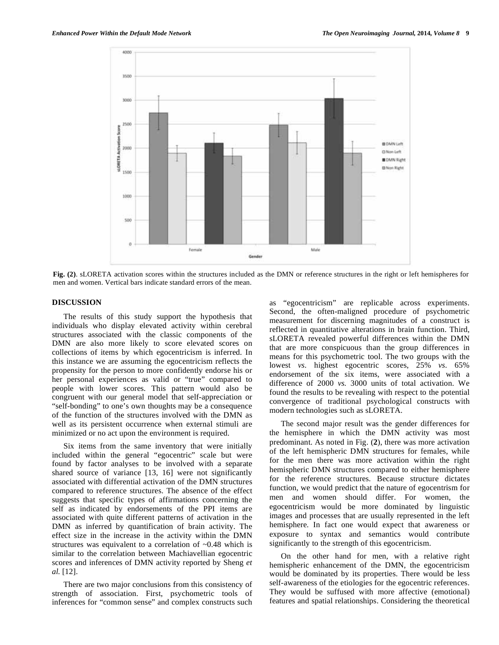

**Fig. (2)**. sLORETA activation scores within the structures included as the DMN or reference structures in the right or left hemispheres for men and women. Vertical bars indicate standard errors of the mean.

#### **DISCUSSION**

 The results of this study support the hypothesis that individuals who display elevated activity within cerebral structures associated with the classic components of the DMN are also more likely to score elevated scores on collections of items by which egocentricism is inferred. In this instance we are assuming the egocentricism reflects the propensity for the person to more confidently endorse his or her personal experiences as valid or "true" compared to people with lower scores. This pattern would also be congruent with our general model that self-appreciation or "self-bonding" to one's own thoughts may be a consequence of the function of the structures involved with the DMN as well as its persistent occurrence when external stimuli are minimized or no act upon the environment is required.

 Six items from the same inventory that were initially included within the general "egocentric" scale but were found by factor analyses to be involved with a separate shared source of variance [13, 16] were not significantly associated with differential activation of the DMN structures compared to reference structures. The absence of the effect suggests that specific types of affirmations concerning the self as indicated by endorsements of the PPI items are associated with quite different patterns of activation in the DMN as inferred by quantification of brain activity. The effect size in the increase in the activity within the DMN structures was equivalent to a correlation of ~0.48 which is similar to the correlation between Machiavellian egocentric scores and inferences of DMN activity reported by Sheng *et al.* [12].

 There are two major conclusions from this consistency of strength of association. First, psychometric tools of inferences for "common sense" and complex constructs such

as "egocentricism" are replicable across experiments. Second, the often-maligned procedure of psychometric measurement for discerning magnitudes of a construct is reflected in quantitative alterations in brain function. Third, sLORETA revealed powerful differences within the DMN that are more conspicuous than the group differences in means for this psychometric tool. The two groups with the lowest *vs.* highest egocentric scores, 25% *vs.* 65% endorsement of the six items, were associated with a difference of 2000 *vs.* 3000 units of total activation. We found the results to be revealing with respect to the potential convergence of traditional psychological constructs with modern technologies such as sLORETA.

 The second major result was the gender differences for the hemisphere in which the DMN activity was most predominant. As noted in Fig. (**2**), there was more activation of the left hemispheric DMN structures for females, while for the men there was more activation within the right hemispheric DMN structures compared to either hemisphere for the reference structures. Because structure dictates function, we would predict that the nature of egocentrism for men and women should differ. For women, the egocentricism would be more dominated by linguistic images and processes that are usually represented in the left hemisphere. In fact one would expect that awareness or exposure to syntax and semantics would contribute significantly to the strength of this egocentricism.

 On the other hand for men, with a relative right hemispheric enhancement of the DMN, the egocentricism would be dominated by its properties. There would be less self-awareness of the etiologies for the egocentric references. They would be suffused with more affective (emotional) features and spatial relationships. Considering the theoretical